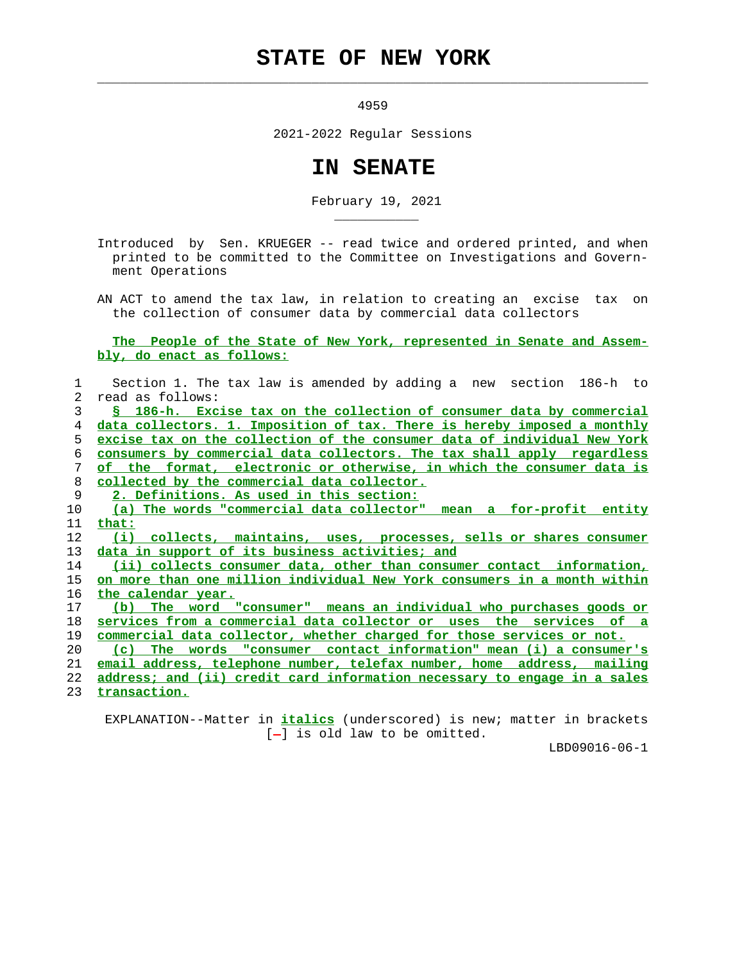## **STATE OF NEW YORK**

 $\mathcal{L}_\text{max} = \frac{1}{2} \sum_{i=1}^{n} \frac{1}{2} \sum_{i=1}^{n} \frac{1}{2} \sum_{i=1}^{n} \frac{1}{2} \sum_{i=1}^{n} \frac{1}{2} \sum_{i=1}^{n} \frac{1}{2} \sum_{i=1}^{n} \frac{1}{2} \sum_{i=1}^{n} \frac{1}{2} \sum_{i=1}^{n} \frac{1}{2} \sum_{i=1}^{n} \frac{1}{2} \sum_{i=1}^{n} \frac{1}{2} \sum_{i=1}^{n} \frac{1}{2} \sum_{i=1}^{n} \frac{1$ 

\_\_\_\_\_\_\_\_\_\_\_

4959

2021-2022 Regular Sessions

## **IN SENATE**

February 19, 2021

 Introduced by Sen. KRUEGER -- read twice and ordered printed, and when printed to be committed to the Committee on Investigations and Govern ment Operations

 AN ACT to amend the tax law, in relation to creating an excise tax on the collection of consumer data by commercial data collectors

 **The People of the State of New York, represented in Senate and Assem bly, do enact as follows:**

| Section 1. The tax law is amended by adding a new section 186-h to       |
|--------------------------------------------------------------------------|
| read as follows:                                                         |
| § 186-h. Excise tax on the collection of consumer data by commercial     |
| data collectors. 1. Imposition of tax. There is hereby imposed a monthly |
| excise tax on the collection of the consumer data of individual New York |
| consumers by commercial data collectors. The tax shall apply regardless  |
| of the format, electronic or otherwise, in which the consumer data is    |
| collected by the commercial data collector.                              |
| 2. Definitions. As used in this section:                                 |
| (a) The words "commercial data collector" mean a for-profit entity       |
| that:                                                                    |
| (i) collects, maintains, uses, processes, sells or shares consumer       |
| data in support of its business activities; and                          |
| (ii) collects consumer data, other than consumer contact information,    |
| on more than one million individual New York consumers in a month within |
| the calendar year.                                                       |
| The word "consumer" means an individual who purchases goods or<br>(b)    |
| services from a commercial data collector or uses the services of a      |
| commercial data collector, whether charged for those services or not.    |
| The words "consumer contact information" mean (i) a consumer's<br>(c)    |
| email address, telephone number, telefax number, home address, mailing   |
| address; and (ii) credit card information necessary to engage in a sales |
| transaction.                                                             |
|                                                                          |

 EXPLANATION--Matter in **italics** (underscored) is new; matter in brackets  $[-]$  is old law to be omitted.

LBD09016-06-1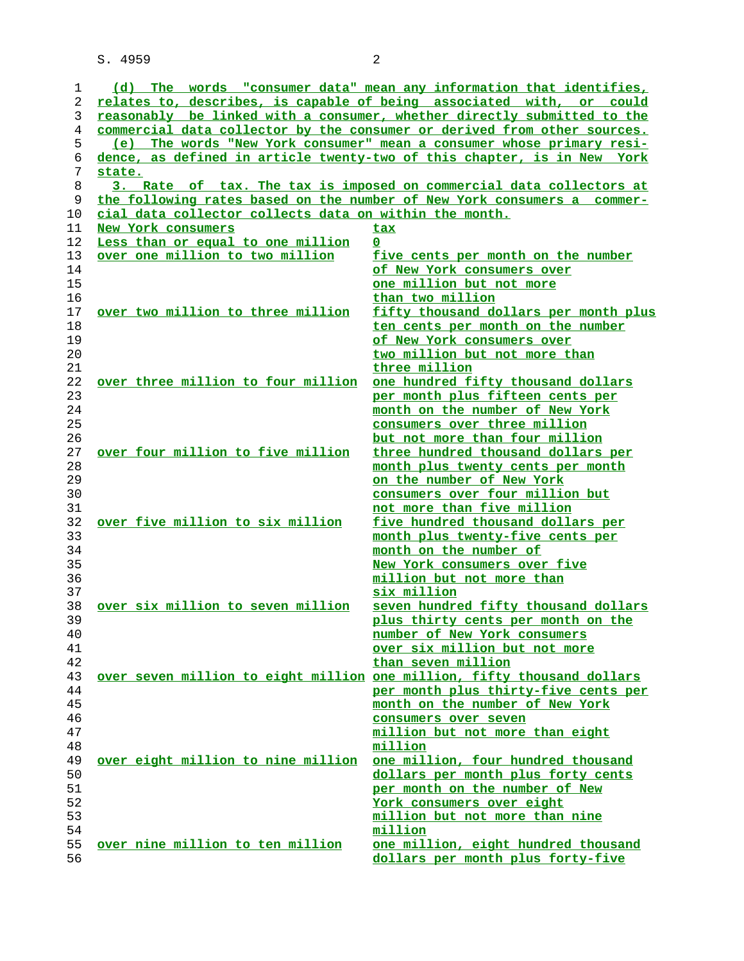S. 4959 2

| 1  |                                                        | (d) The words "consumer data" mean any information that identifies,      |
|----|--------------------------------------------------------|--------------------------------------------------------------------------|
| 2  |                                                        | relates to, describes, is capable of being associated with, or could     |
| 3  |                                                        | reasonably be linked with a consumer, whether directly submitted to the  |
| 4  |                                                        | commercial data collector by the consumer or derived from other sources. |
| 5  |                                                        | (e) The words "New York consumer" mean a consumer whose primary resi-    |
| 6  |                                                        | dence, as defined in article twenty-two of this chapter, is in New York  |
| 7  | state.                                                 |                                                                          |
| 8  |                                                        | 3. Rate of tax. The tax is imposed on commercial data collectors at      |
| 9  |                                                        | the following rates based on the number of New York consumers a commer-  |
| 10 | cial data collector collects data on within the month. |                                                                          |
| 11 | New York consumers                                     | <u>tax</u>                                                               |
| 12 | Less than or equal to one million                      | $\mathbf 0$                                                              |
| 13 | over one million to two million                        | five cents per month on the number                                       |
| 14 |                                                        | of New York consumers over                                               |
| 15 |                                                        | one million but not more                                                 |
| 16 |                                                        | than two million                                                         |
| 17 | over two million to three million                      | fifty thousand dollars per month plus                                    |
| 18 |                                                        |                                                                          |
| 19 |                                                        | ten cents per month on the number<br>of New York consumers over          |
|    |                                                        |                                                                          |
| 20 |                                                        | two million but not more than                                            |
| 21 |                                                        | three million                                                            |
| 22 | over three million to four million                     | one hundred fifty thousand dollars                                       |
| 23 |                                                        | per month plus fifteen cents per                                         |
| 24 |                                                        | month on the number of New York                                          |
| 25 |                                                        | consumers over three million                                             |
| 26 |                                                        | but not more than four million                                           |
| 27 | over four million to five million                      | three hundred thousand dollars per                                       |
| 28 |                                                        | month plus twenty cents per month                                        |
| 29 |                                                        | on the number of New York                                                |
| 30 |                                                        | consumers over four million but                                          |
| 31 |                                                        | not more than five million                                               |
| 32 | over five million to six million                       | five hundred thousand dollars per                                        |
| 33 |                                                        | month plus twenty-five cents per                                         |
| 34 |                                                        | month on the number of                                                   |
| 35 |                                                        | New York consumers over five                                             |
| 36 |                                                        | million but not more than                                                |
| 37 |                                                        | six million                                                              |
| 38 | over six million to seven million                      | seven hundred fifty thousand dollars                                     |
| 39 |                                                        | plus thirty cents per month on the                                       |
| 40 |                                                        | number of New York consumers                                             |
| 41 |                                                        | over six million but not more                                            |
| 42 |                                                        | than seven million                                                       |
| 43 |                                                        | over seven million to eight million one million, fifty thousand dollars  |
| 44 |                                                        | per month plus thirty-five cents per                                     |
| 45 |                                                        | month on the number of New York                                          |
| 46 |                                                        | consumers over seven                                                     |
| 47 |                                                        | million but not more than eight                                          |
| 48 |                                                        | million                                                                  |
| 49 | over eight million to nine million                     | one million, four hundred thousand                                       |
| 50 |                                                        | dollars per month plus forty cents                                       |
| 51 |                                                        | per month on the number of New                                           |
| 52 |                                                        | York consumers over eight                                                |
| 53 |                                                        | million but not more than nine                                           |
| 54 |                                                        | million                                                                  |
| 55 | over nine million to ten million                       | one million, eight hundred thousand                                      |
| 56 |                                                        | dollars per month plus forty-five                                        |